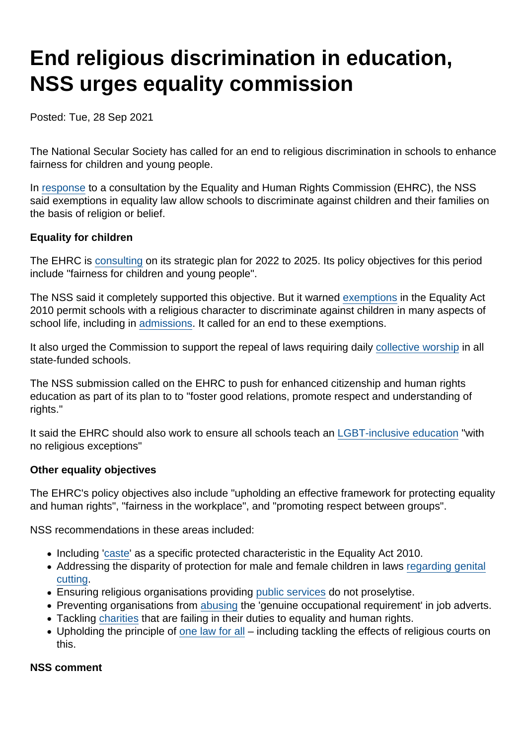## End religious discrimination in education, NSS urges equality commission

Posted: Tue, 28 Sep 2021

The National Secular Society has called for an end to religious discrimination in schools to enhance fairness for children and young people.

In [response](https://www.secularism.org.uk/uploads/ehrc-strategic-plan-nss-submission-(website).pdf?v=1632819015) to a consultation by the Equality and Human Rights Commission (EHRC), the NSS said exemptions in equality law allow schools to discriminate against children and their families on the basis of religion or belief.

Equality for children

The EHRC is [consulting](https://www.equalityhumanrights.com/en/our-work/our-strategic-plan-2022-2025-have-your-say) on its strategic plan for 2022 to 2025. Its policy objectives for this period include "fairness for children and young people".

The NSS said it completely supported this objective. But it warned [exemptions](https://www.secularism.org.uk/defend-equality-laws/faith-shaped-holes-how-religious.html) in the Equality Act 2010 permit schools with a religious character to discriminate against children in many aspects of school life, including in [admissions](https://www.secularism.org.uk/faith-schools/end-pupil-discrimination.html). It called for an end to these exemptions.

It also urged the Commission to support the repeal of laws requiring daily [collective worship](https://www.secularism.org.uk/end-compulsory-worship/) in all state-funded schools.

The NSS submission called on the EHRC to push for enhanced citizenship and human rights education as part of its plan to to "foster good relations, promote respect and understanding of rights."

It said the EHRC should also work to ensure all schools teach an [LGBT-inclusive education](https://www.secularism.org.uk/sex-education/) "with no religious exceptions"

Other equality objectives

The EHRC's policy objectives also include "upholding an effective framework for protecting equality and human rights", "fairness in the workplace", and "promoting respect between groups".

NSS recommendations in these areas included:

- Including '[caste](https://www.secularism.org.uk/outlaw-caste-discrimination/)' as a specific protected characteristic in the Equality Act 2010.
- Addressing the disparity of protection for male and female children in laws [regarding genital](https://www.secularism.org.uk/religious-surgery/) [cutting](https://www.secularism.org.uk/religious-surgery/).
- Ensuring religious organisations providing [public services](https://www.secularism.org.uk/public-services/) do not proselytise.
- Preventing organisations from [abusing](https://www.secularism.org.uk/defend-equality-laws/faith-shaped-holes-how-religious.html) the 'genuine occupational requirement' in job adverts.
- Tackling [charities](https://www.secularism.org.uk/charities/) that are failing in their duties to equality and human rights.
- Upholding the principle of [one law for all](https://www.secularism.org.uk/one-law-for-all/)  including tackling the effects of religious courts on this.

NSS comment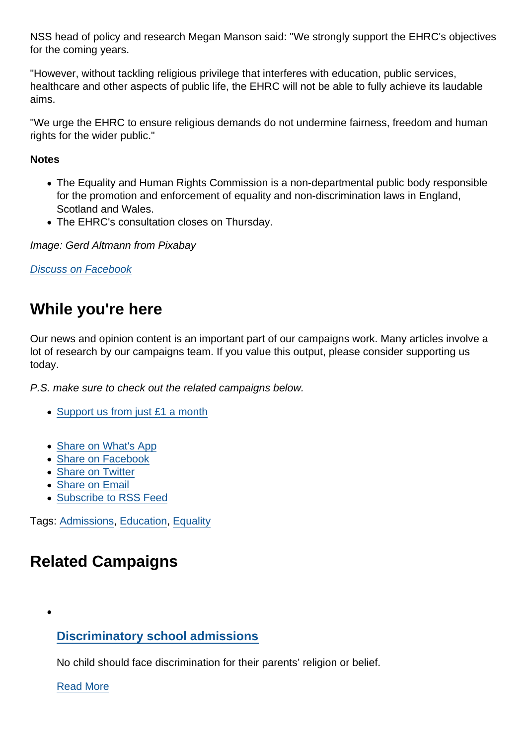NSS head of policy and research Megan Manson said: "We strongly support the EHRC's objectives for the coming years.

"However, without tackling religious privilege that interferes with education, public services, healthcare and other aspects of public life, the EHRC will not be able to fully achieve its laudable aims.

"We urge the EHRC to ensure religious demands do not undermine fairness, freedom and human rights for the wider public."

**Notes** 

- The Equality and Human Rights Commission is a non-departmental public body responsible for the promotion and enforcement of equality and non-discrimination laws in England, Scotland and Wales.
- The EHRC's consultation closes on Thursday.

Image: Gerd Altmann from Pixabay

[Discuss on Facebook](https://www.facebook.com/NationalSecularSociety/posts/4379706142097703?__cft__[0]=AZVaHu8G1R8aN-FkEY9oTb6DePGjANe_1pxEkwvyJzYkmykZEpUQP3klwqK1sYIakcO3ZU3AuawglCBa1Vswvisk79T2dBGgC0IXvlErLziZmVpFe4oOPVkLTZ-MsxdQC85_ZAtYZ4VJwTakCjNxtQe8EksGCJzp5kZH900lCB9mEH-mQm1FPKLVTrsna8l0lVc&__tn__=,O,P-R)

## While you're here

Our news and opinion content is an important part of our campaigns work. Many articles involve a lot of research by our campaigns team. If you value this output, please consider supporting us today.

P.S. make sure to check out the related campaigns below.

- [Support us from just £1 a month](https://www.secularism.org.uk/donate.html)
- [Share on What's App](whatsapp://send?text=http://www.secularism.org.uk/news/2021/09/end-religious-discrimination-in-education-nss-urges-equality-commission?format=pdf)
- [Share on Facebook](https://www.facebook.com/sharer/sharer.php?u=http://www.secularism.org.uk/news/2021/09/end-religious-discrimination-in-education-nss-urges-equality-commission?format=pdf&t=End+religious+discrimination+in+education,+NSS+urges+equality+commission)
- [Share on Twitter](https://twitter.com/intent/tweet?url=http://www.secularism.org.uk/news/2021/09/end-religious-discrimination-in-education-nss-urges-equality-commission?format=pdf&text=End+religious+discrimination+in+education,+NSS+urges+equality+commission&via=NatSecSoc)
- [Share on Email](https://www.secularism.org.uk/share.html?url=http://www.secularism.org.uk/news/2021/09/end-religious-discrimination-in-education-nss-urges-equality-commission?format=pdf&title=End+religious+discrimination+in+education,+NSS+urges+equality+commission)
- [Subscribe to RSS Feed](/mnt/web-data/www/cp-nss/feeds/rss/news)

Tags: [Admissions,](https://www.secularism.org.uk/news/tags/Admissions) [Education,](https://www.secularism.org.uk/news/tags/Education) [Equality](https://www.secularism.org.uk/news/tags/Equality)

## Related Campaigns

[Discriminatory school admissions](https://www.secularism.org.uk/admissions-fifty-percent-cap/)

No child should face discrimination for their parents' religion or belief.

[Read More](https://www.secularism.org.uk/admissions-fifty-percent-cap/)